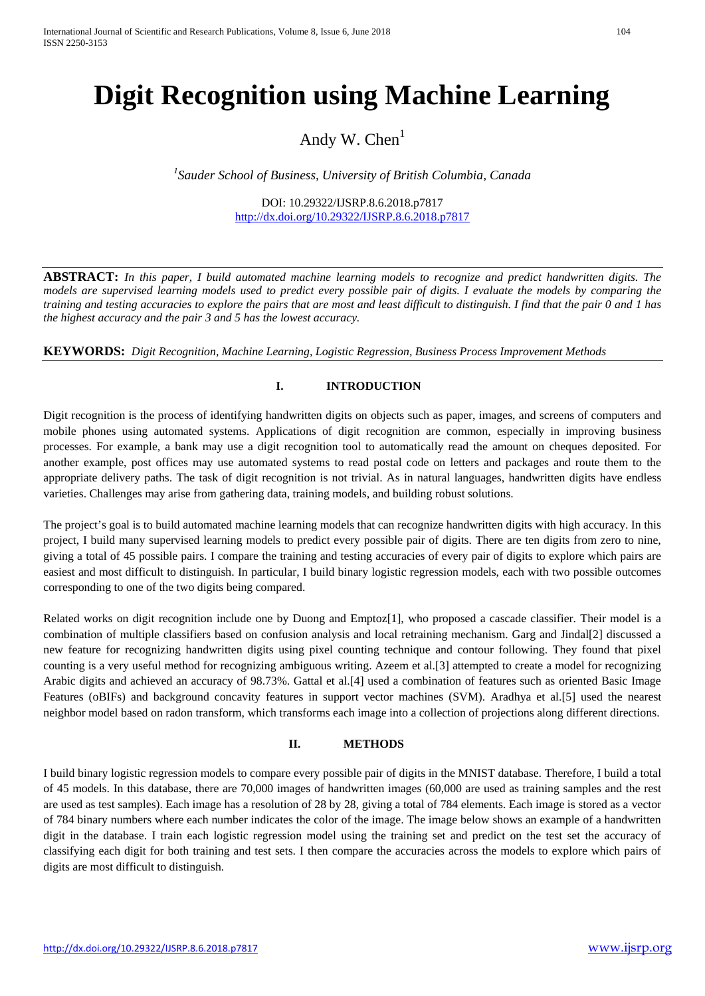# **Digit Recognition using Machine Learning**

Andy W.  $Chen<sup>1</sup>$ 

*1 Sauder School of Business, University of British Columbia, Canada*

DOI: 10.29322/IJSRP.8.6.2018.p7817 <http://dx.doi.org/10.29322/IJSRP.8.6.2018.p7817>

**ABSTRACT:** *In this paper, I build automated machine learning models to recognize and predict handwritten digits. The models are supervised learning models used to predict every possible pair of digits. I evaluate the models by comparing the training and testing accuracies to explore the pairs that are most and least difficult to distinguish. I find that the pair 0 and 1 has the highest accuracy and the pair 3 and 5 has the lowest accuracy.* 

**KEYWORDS:** *Digit Recognition, Machine Learning, Logistic Regression, Business Process Improvement Methods*

### **I. INTRODUCTION**

Digit recognition is the process of identifying handwritten digits on objects such as paper, images, and screens of computers and mobile phones using automated systems. Applications of digit recognition are common, especially in improving business processes. For example, a bank may use a digit recognition tool to automatically read the amount on cheques deposited. For another example, post offices may use automated systems to read postal code on letters and packages and route them to the appropriate delivery paths. The task of digit recognition is not trivial. As in natural languages, handwritten digits have endless varieties. Challenges may arise from gathering data, training models, and building robust solutions.

The project's goal is to build automated machine learning models that can recognize handwritten digits with high accuracy. In this project, I build many supervised learning models to predict every possible pair of digits. There are ten digits from zero to nine, giving a total of 45 possible pairs. I compare the training and testing accuracies of every pair of digits to explore which pairs are easiest and most difficult to distinguish. In particular, I build binary logistic regression models, each with two possible outcomes corresponding to one of the two digits being compared.

Related works on digit recognition include one by Duong and Emptoz[1], who proposed a cascade classifier. Their model is a combination of multiple classifiers based on confusion analysis and local retraining mechanism. Garg and Jindal[2] discussed a new feature for recognizing handwritten digits using pixel counting technique and contour following. They found that pixel counting is a very useful method for recognizing ambiguous writing. Azeem et al.[3] attempted to create a model for recognizing Arabic digits and achieved an accuracy of 98.73%. Gattal et al.[4] used a combination of features such as oriented Basic Image Features (oBIFs) and background concavity features in support vector machines (SVM). Aradhya et al.[5] used the nearest neighbor model based on radon transform, which transforms each image into a collection of projections along different directions.

### **II. METHODS**

I build binary logistic regression models to compare every possible pair of digits in the MNIST database. Therefore, I build a total of 45 models. In this database, there are 70,000 images of handwritten images (60,000 are used as training samples and the rest are used as test samples). Each image has a resolution of 28 by 28, giving a total of 784 elements. Each image is stored as a vector of 784 binary numbers where each number indicates the color of the image. The image below shows an example of a handwritten digit in the database. I train each logistic regression model using the training set and predict on the test set the accuracy of classifying each digit for both training and test sets. I then compare the accuracies across the models to explore which pairs of digits are most difficult to distinguish.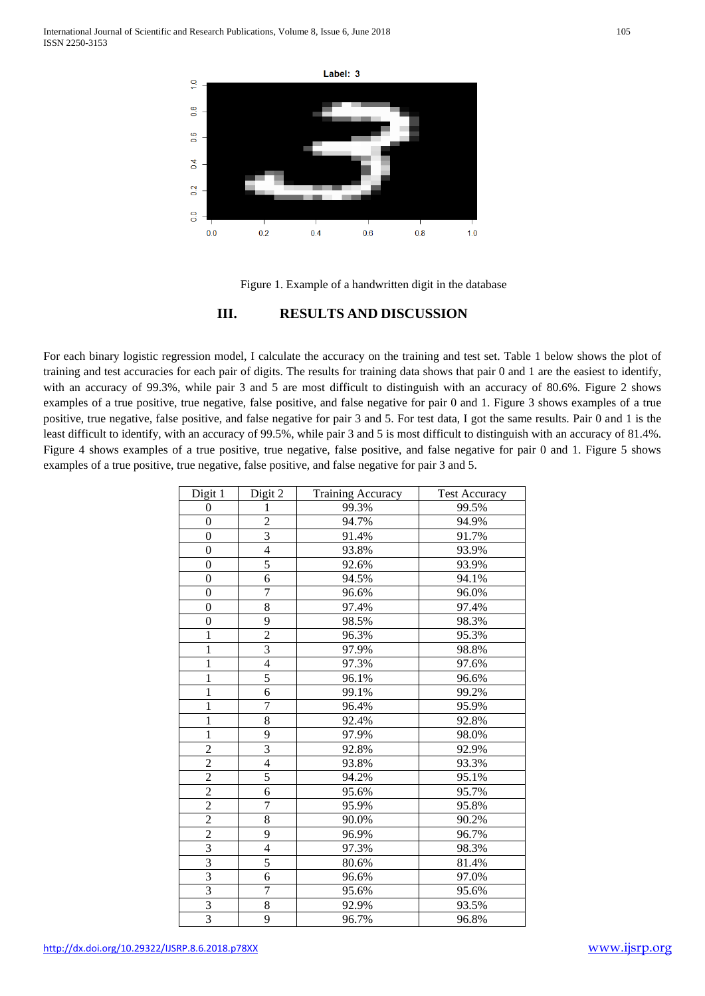

Figure 1. Example of a handwritten digit in the database

## **III. RESULTS AND DISCUSSION**

For each binary logistic regression model, I calculate the accuracy on the training and test set. Table 1 below shows the plot of training and test accuracies for each pair of digits. The results for training data shows that pair 0 and 1 are the easiest to identify, with an accuracy of 99.3%, while pair 3 and 5 are most difficult to distinguish with an accuracy of 80.6%. Figure 2 shows examples of a true positive, true negative, false positive, and false negative for pair 0 and 1. Figure 3 shows examples of a true positive, true negative, false positive, and false negative for pair 3 and 5. For test data, I got the same results. Pair 0 and 1 is the least difficult to identify, with an accuracy of 99.5%, while pair 3 and 5 is most difficult to distinguish with an accuracy of 81.4%. Figure 4 shows examples of a true positive, true negative, false positive, and false negative for pair 0 and 1. Figure 5 shows examples of a true positive, true negative, false positive, and false negative for pair 3 and 5.

| Digit 1          | Digit 2        | <b>Training Accuracy</b> | <b>Test Accuracy</b> |
|------------------|----------------|--------------------------|----------------------|
| $\theta$         | 1              | 99.3%                    | 99.5%                |
| $\overline{0}$   | $\overline{c}$ | 94.7%                    | 94.9%                |
| $\boldsymbol{0}$ | $\overline{3}$ | 91.4%                    | 91.7%                |
| $\boldsymbol{0}$ | $\overline{4}$ | 93.8%                    | 93.9%                |
| $\boldsymbol{0}$ | 5              | 92.6%                    | 93.9%                |
| $\boldsymbol{0}$ | 6              | 94.5%                    | 94.1%                |
| $\boldsymbol{0}$ | $\overline{7}$ | 96.6%                    | 96.0%                |
| $\overline{0}$   | $\overline{8}$ | 97.4%                    | 97.4%                |
| $\boldsymbol{0}$ | 9              | 98.5%                    | 98.3%                |
| $\mathbf{1}$     | $\overline{2}$ | 96.3%                    | 95.3%                |
| $\mathbf{1}$     | $\overline{3}$ | 97.9%                    | 98.8%                |
| $\mathbf{1}$     | 4              | 97.3%                    | 97.6%                |
| $\mathbf{1}$     | $\overline{5}$ | 96.1%                    | 96.6%                |
| $\overline{1}$   | $\overline{6}$ | 99.1%                    | 99.2%                |
| $\mathbf{1}$     | $\overline{7}$ | 96.4%                    | 95.9%                |
| $\mathbf{1}$     | 8              | 92.4%                    | 92.8%                |
| $\overline{1}$   | 9              | 97.9%                    | 98.0%                |
| $\overline{2}$   | $\overline{3}$ | 92.8%                    | 92.9%                |
| $\frac{2}{2}$    | $\overline{4}$ | 93.8%                    | 93.3%                |
|                  | $\overline{5}$ | 94.2%                    | 95.1%                |
| $\overline{2}$   | 6              | 95.6%                    | 95.7%                |
| $\overline{2}$   | 7              | 95.9%                    | 95.8%                |
| $\overline{2}$   | $\overline{8}$ | 90.0%                    | 90.2%                |
| $\overline{2}$   | 9              | 96.9%                    | 96.7%                |
| $\overline{3}$   | $\overline{4}$ | 97.3%                    | 98.3%                |
| $\overline{3}$   | 5              | 80.6%                    | 81.4%                |
| $\overline{3}$   | 6              | 96.6%                    | 97.0%                |
| $rac{3}{3}$      | $\overline{7}$ | 95.6%                    | 95.6%                |
|                  | 8              | 92.9%                    | 93.5%                |
| $\overline{3}$   | 9              | 96.7%                    | 96.8%                |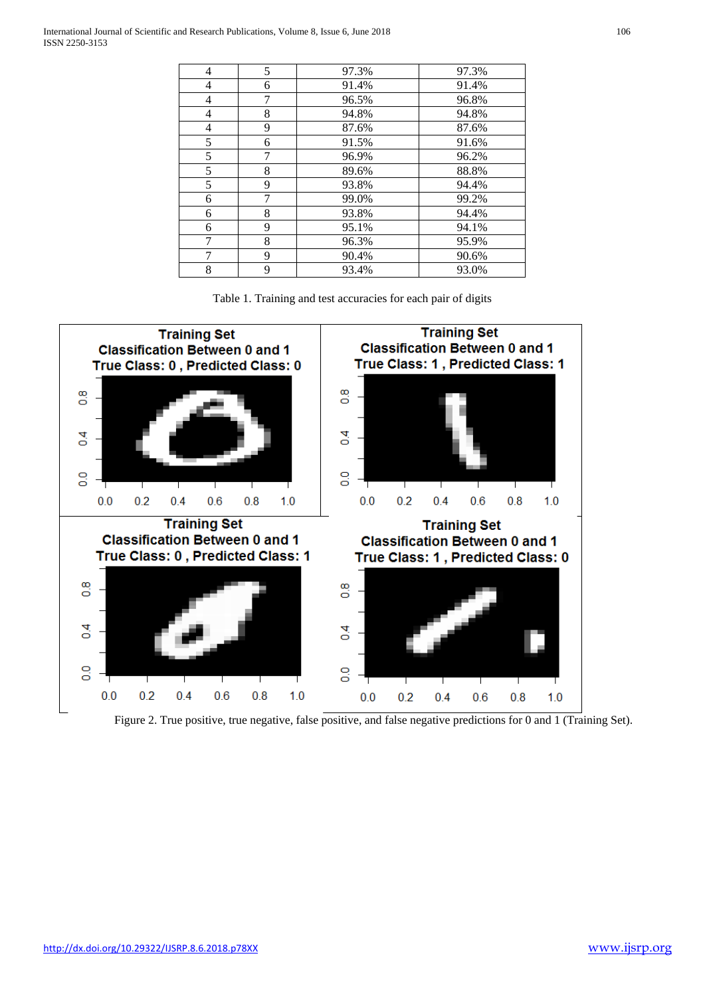| 4              | 5 | 97.3% | 97.3% |
|----------------|---|-------|-------|
| 4              | 6 | 91.4% | 91.4% |
| 4              | 7 | 96.5% | 96.8% |
| 4              | 8 | 94.8% | 94.8% |
| $\overline{4}$ | 9 | 87.6% | 87.6% |
| 5              | 6 | 91.5% | 91.6% |
| 5              | 7 | 96.9% | 96.2% |
| 5              | 8 | 89.6% | 88.8% |
| 5              | 9 | 93.8% | 94.4% |
| 6              | 7 | 99.0% | 99.2% |
| 6              | 8 | 93.8% | 94.4% |
| 6              | 9 | 95.1% | 94.1% |
| 7              | 8 | 96.3% | 95.9% |
| 7              | 9 | 90.4% | 90.6% |
| 8              | 9 | 93.4% | 93.0% |





Figure 2. True positive, true negative, false positive, and false negative predictions for 0 and 1 (Training Set).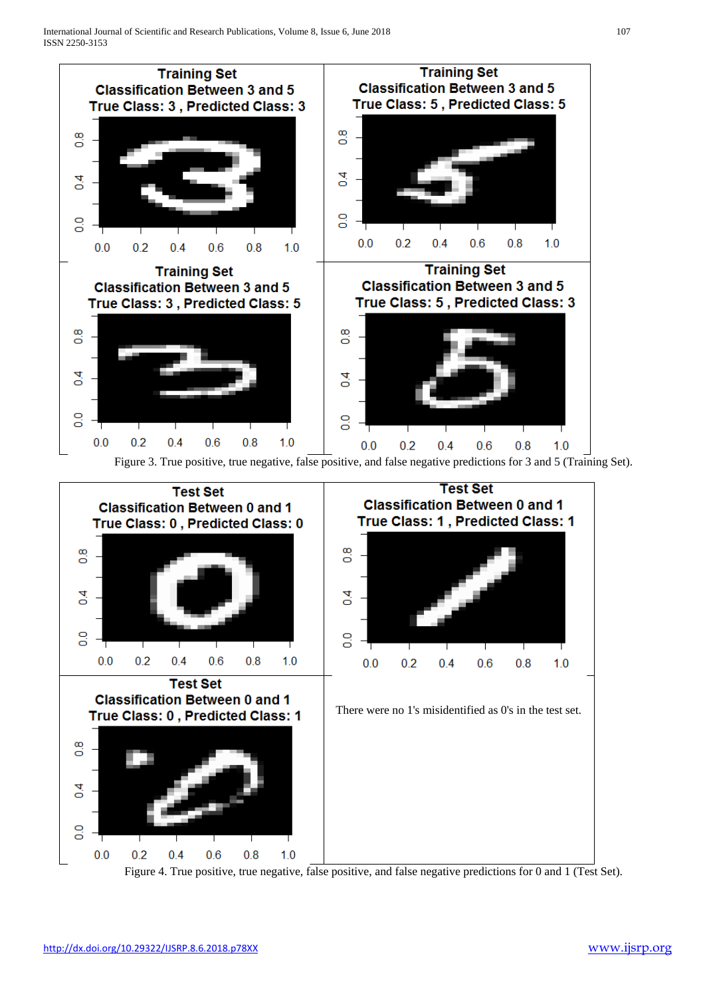

Figure 4. True positive, true negative, false positive, and false negative predictions for 0 and 1 (Test Set).

 $0.2$ 

 $0.4$ 

 $0.6$ 

 $0.8$ 

 $1.0$ 

4  $\Box$ 

 $\frac{0}{0}$ 

 $0.0$